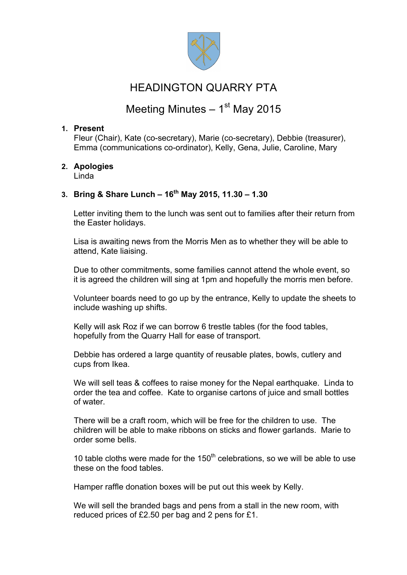

## HEADINGTON QUARRY PTA

# Meeting Minutes  $-1<sup>st</sup>$  May 2015

## **1. Present**

Fleur (Chair), Kate (co-secretary), Marie (co-secretary), Debbie (treasurer), Emma (communications co-ordinator), Kelly, Gena, Julie, Caroline, Mary

**2. Apologies** Linda

## **3. Bring & Share Lunch – 16th May 2015, 11.30 – 1.30**

Letter inviting them to the lunch was sent out to families after their return from the Easter holidays.

Lisa is awaiting news from the Morris Men as to whether they will be able to attend, Kate liaising.

Due to other commitments, some families cannot attend the whole event, so it is agreed the children will sing at 1pm and hopefully the morris men before.

Volunteer boards need to go up by the entrance, Kelly to update the sheets to include washing up shifts.

Kelly will ask Roz if we can borrow 6 trestle tables (for the food tables, hopefully from the Quarry Hall for ease of transport.

Debbie has ordered a large quantity of reusable plates, bowls, cutlery and cups from Ikea.

We will sell teas & coffees to raise money for the Nepal earthquake. Linda to order the tea and coffee. Kate to organise cartons of juice and small bottles of water.

There will be a craft room, which will be free for the children to use. The children will be able to make ribbons on sticks and flower garlands. Marie to order some bells.

10 table cloths were made for the  $150<sup>th</sup>$  celebrations, so we will be able to use these on the food tables.

Hamper raffle donation boxes will be put out this week by Kelly.

We will sell the branded bags and pens from a stall in the new room, with reduced prices of £2.50 per bag and 2 pens for £1.